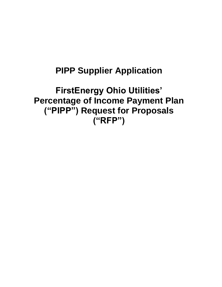# **PIPP Supplier Application**

# **FirstEnergy Ohio Utilities' Percentage of Income Payment Plan ("PIPP") Request for Proposals ("RFP")**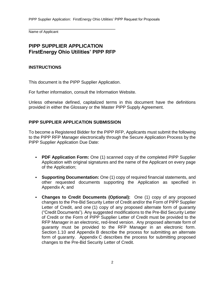Name of Applicant

# **PIPP SUPPLIER APPLICATION FirstEnergy Ohio Utilities' PIPP RFP**

\_\_\_\_\_\_\_\_\_\_\_\_\_\_\_\_\_\_\_\_\_\_\_\_\_\_\_\_\_\_\_\_\_\_\_\_\_\_\_\_\_\_\_

# **INSTRUCTIONS**

This document is the PIPP Supplier Application.

For further information, consult the Information Website.

Unless otherwise defined, capitalized terms in this document have the definitions provided in either the Glossary or the Master PIPP Supply Agreement.

#### **PIPP SUPPLIER APPLICATION SUBMISSION**

To become a Registered Bidder for the PIPP RFP, Applicants must submit the following to the PIPP RFP Manager electronically through the Secure Application Process by the PIPP Supplier Application Due Date:

- **PDF Application Form:** One (1) scanned copy of the completed PIPP Supplier Application with original signatures and the name of the Applicant on every page of the Application;
- **Supporting Documentation:** One (1) copy of required financial statements, and other requested documents supporting the Application as specified in Appendix A; and
- **Changes to Credit Documents (Optional):** One (1) copy of any proposed changes to the Pre-Bid Security Letter of Credit and/or the Form of PIPP Supplier Letter of Credit, and one (1) copy of any proposed alternate form of guaranty ("Credit Documents"). Any suggested modifications to the Pre-Bid Security Letter of Credit or the Form of PIPP Supplier Letter of Credit must be provided to the RFP Manager in an electronic, red-lined version. Any proposed alternate form of guaranty must be provided to the RFP Manager in an electronic form. Section 1.10 and Appendix B describe the process for submitting an alternate form of guaranty. Appendix C describes the process for submitting proposed changes to the Pre-Bid Security Letter of Credit.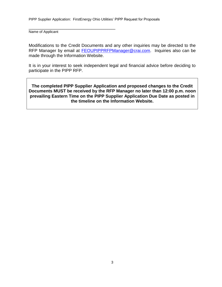\_\_\_\_\_\_\_\_\_\_\_\_\_\_\_\_\_\_\_\_\_\_\_\_\_\_\_\_\_\_\_\_\_\_\_\_\_\_\_\_\_\_\_

Name of Applicant

Modifications to the Credit Documents and any other inquiries may be directed to the RFP Manager by email at **FEOUPIPPRFPManager@crai.com**. Inquiries also can be made through the Information Website.

It is in your interest to seek independent legal and financial advice before deciding to participate in the PIPP RFP.

**The completed PIPP Supplier Application and proposed changes to the Credit Documents MUST be received by the RFP Manager no later than 12:00 p.m. noon prevailing Eastern Time on the PIPP Supplier Application Due Date as posted in the timeline on the Information Website.**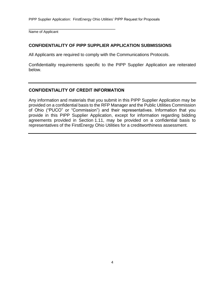\_\_\_\_\_\_\_\_\_\_\_\_\_\_\_\_\_\_\_\_\_\_\_\_\_\_\_\_\_\_\_\_\_\_\_\_\_\_\_\_\_\_\_ Name of Applicant

# **CONFIDENTIALITY OF PIPP SUPPLIER APPLICATION SUBMISSIONS**

All Applicants are required to comply with the Communications Protocols.

Confidentiality requirements specific to the PIPP Supplier Application are reiterated below.

# **CONFIDENTIALITY OF CREDIT INFORMATION**

Any information and materials that you submit in this PIPP Supplier Application may be provided on a confidential basis to the RFP Manager and the Public Utilities Commission of Ohio ("PUCO" or "Commission") and their representatives. Information that you provide in this PIPP Supplier Application, except for information regarding bidding agreements provided in Section 1.11, may be provided on a confidential basis to representatives of the FirstEnergy Ohio Utilities for a creditworthiness assessment.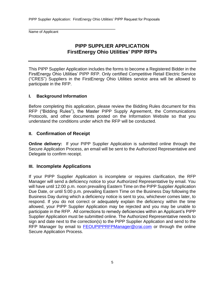\_\_\_\_\_\_\_\_\_\_\_\_\_\_\_\_\_\_\_\_\_\_\_\_\_\_\_\_\_\_\_\_\_\_\_\_\_\_\_\_\_\_\_ Name of Applicant

# **PIPP SUPPLIER APPLICATION FirstEnergy Ohio Utilities' PIPP RFPs**

This PIPP Supplier Application includes the forms to become a Registered Bidder in the FirstEnergy Ohio Utilities' PIPP RFP. Only certified Competitive Retail Electric Service ("CRES") Suppliers in the FirstEnergy Ohio Utilities service area will be allowed to participate in the RFP.

#### **I. Background Information**

Before completing this application, please review the Bidding Rules document for this RFP ("Bidding Rules"), the Master PIPP Supply Agreement, the Communications Protocols, and other documents posted on the Information Website so that you understand the conditions under which the RFP will be conducted.

# **II. Confirmation of Receipt**

**Online delivery:** If your PIPP Supplier Application is submitted online through the Secure Application Process, an email will be sent to the Authorized Representative and Delegate to confirm receipt.

# **III. Incomplete Applications**

If your PIPP Supplier Application is incomplete or requires clarification, the RFP Manager will send a deficiency notice to your Authorized Representative by email. You will have until 12:00 p.m. noon prevailing Eastern Time on the PIPP Supplier Application Due Date, or until 5:00 p.m. prevailing Eastern Time on the Business Day following the Business Day during which a deficiency notice is sent to you, whichever comes later, to respond. If you do not correct or adequately explain the deficiency within the time allowed, your PIPP Supplier Application may be rejected and you may be unable to participate in the RFP. All corrections to remedy deficiencies within an Applicant's PIPP Supplier Application must be submitted online. The Authorized Representative needs to sign and date next to the correction(s) to the PIPP Supplier Application and send to the RFP Manager by email to **[FEOUPIPPRFPManager@crai.com](mailto:FEOUPIPPRFPManager@crai.com)** or through the online Secure Application Process.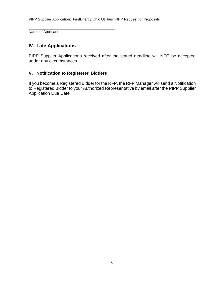\_\_\_\_\_\_\_\_\_\_\_\_\_\_\_\_\_\_\_\_\_\_\_\_\_\_\_\_\_\_\_\_\_\_\_\_\_\_\_\_\_\_\_ Name of Applicant

# **IV. Late Applications**

PIPP Supplier Applications received after the stated deadline will NOT be accepted under any circumstances.

#### **V. Notification to Registered Bidders**

If you become a Registered Bidder for the RFP, the RFP Manager will send a Notification to Registered Bidder to your Authorized Representative by email after the PIPP Supplier Application Due Date.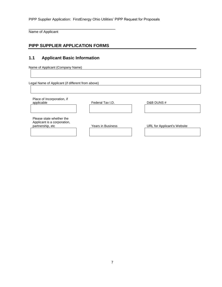Name of Applicant

# **PIPP SUPPLIER APPLICATION FORMS**

\_\_\_\_\_\_\_\_\_\_\_\_\_\_\_\_\_\_\_\_\_\_\_\_\_\_\_\_\_\_\_\_\_\_\_\_\_\_\_\_\_\_\_

## **1.1 Applicant Basic Information**

Name of Applicant (Company Name)

Legal Name of Applicant (if different from above)

| Place of Incorporation, if<br>applicable                                    | Federal Tax I.D.  | D&B DUNS #                  |
|-----------------------------------------------------------------------------|-------------------|-----------------------------|
|                                                                             |                   |                             |
| Please state whether the<br>Applicant is a corporation,<br>partnership, etc | Years in Business | URL for Applicant's Website |
|                                                                             |                   |                             |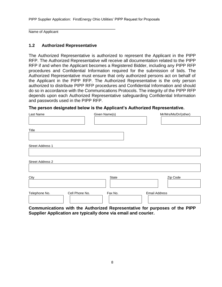Name of Applicant

#### **1.2 Authorized Representative**

\_\_\_\_\_\_\_\_\_\_\_\_\_\_\_\_\_\_\_\_\_\_\_\_\_\_\_\_\_\_\_\_\_\_\_\_\_\_\_\_\_\_\_

The Authorized Representative is authorized to represent the Applicant in the PIPP RFP. The Authorized Representative will receive all documentation related to the PIPP RFP if and when the Applicant becomes a Registered Bidder, including any PIPP RFP procedures and Confidential Information required for the submission of bids. The Authorized Representative must ensure that only authorized persons act on behalf of the Applicant in the PIPP RFP. The Authorized Representative is the only person authorized to distribute PIPP RFP procedures and Confidential Information and should do so in accordance with the Communications Protocols. The integrity of the PIPP RFP depends upon each Authorized Representative safeguarding Confidential Information and passwords used in the PIPP RFP.

**The person designated below is the Applicant's Authorized Representative.**

| Last Name        |                | Given Name(s) |                      | Mr/Mrs/Ms/Dr/(other) |
|------------------|----------------|---------------|----------------------|----------------------|
|                  |                |               |                      |                      |
| Title            |                |               |                      |                      |
|                  |                |               |                      |                      |
| Street Address 1 |                |               |                      |                      |
|                  |                |               |                      |                      |
| Street Address 2 |                |               |                      |                      |
|                  |                |               |                      |                      |
| City             |                | State         |                      | Zip Code             |
|                  |                |               |                      |                      |
| Telephone No.    | Cell Phone No. | Fax No.       | <b>Email Address</b> |                      |
|                  |                |               |                      |                      |

**Communications with the Authorized Representative for purposes of the PIPP Supplier Application are typically done via email and courier.**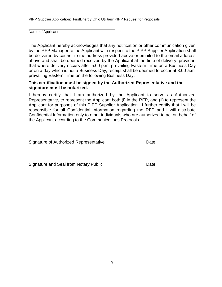\_\_\_\_\_\_\_\_\_\_\_\_\_\_\_\_\_\_\_\_\_\_\_\_\_\_\_\_\_\_\_\_\_\_\_\_\_\_\_\_\_\_\_

Name of Applicant

The Applicant hereby acknowledges that any notification or other communication given by the RFP Manager to the Applicant with respect to the PIPP Supplier Application shall be delivered by courier to the address provided above or emailed to the email address above and shall be deemed received by the Applicant at the time of delivery, provided that where delivery occurs after 5:00 p.m. prevailing Eastern Time on a Business Day or on a day which is not a Business Day, receipt shall be deemed to occur at 8:00 a.m. prevailing Eastern Time on the following Business Day.

#### **This certification must be signed by the Authorized Representative and the signature must be notarized.**

\_\_\_\_\_\_\_\_\_\_\_\_\_\_\_\_\_\_\_\_\_\_\_\_\_\_\_\_\_\_\_ \_\_\_\_\_\_\_\_\_\_\_\_\_

\_\_\_\_\_\_\_\_\_\_\_\_\_\_\_\_\_\_\_\_\_\_\_\_\_\_\_\_\_\_\_ \_\_\_\_\_\_\_\_\_\_\_\_\_

I hereby certify that I am authorized by the Applicant to serve as Authorized Representative, to represent the Applicant both (i) in the RFP, and (ii) to represent the Applicant for purposes of this PIPP Supplier Application. I further certify that I will be responsible for all Confidential Information regarding the RFP and I will distribute Confidential Information only to other individuals who are authorized to act on behalf of the Applicant according to the Communications Protocols.

Signature of Authorized Representative **Date** Date

Signature and Seal from Notary Public **Example 2** Date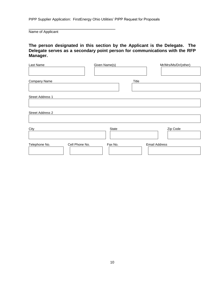\_\_\_\_\_\_\_\_\_\_\_\_\_\_\_\_\_\_\_\_\_\_\_\_\_\_\_\_\_\_\_\_\_\_\_\_\_\_\_\_\_\_\_

Name of Applicant

#### **The person designated in this section by the Applicant is the Delegate. The Delegate serves as a secondary point person for communications with the RFP Manager.**

| Last Name                       | Given Name(s) | Mr/Mrs/Ms/Dr/(other) |
|---------------------------------|---------------|----------------------|
| Company Name                    | <b>Title</b>  |                      |
| Street Address 1                |               |                      |
| Street Address 2                |               |                      |
| City                            | State         | Zip Code             |
| Telephone No.<br>Cell Phone No. | Fax No.       | <b>Email Address</b> |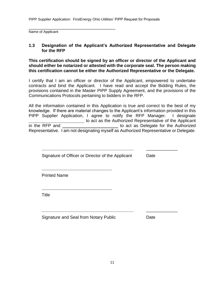\_\_\_\_\_\_\_\_\_\_\_\_\_\_\_\_\_\_\_\_\_\_\_\_\_\_\_\_\_\_\_\_\_\_\_\_\_\_\_\_\_\_\_

Name of Applicant

#### **1.3 Designation of the Applicant's Authorized Representative and Delegate for the RFP**

**This certification should be signed by an officer or director of the Applicant and should either be notarized or attested with the corporate seal. The person making this certification cannot be either the Authorized Representative or the Delegate.**

I certify that I am an officer or director of the Applicant, empowered to undertake contracts and bind the Applicant. I have read and accept the Bidding Rules, the provisions contained in the Master PIPP Supply Agreement, and the provisions of the Communications Protocols pertaining to bidders in the RFP.

All the information contained in this Application is true and correct to the best of my knowledge. If there are material changes to the Applicant's information provided in this PIPP Supplier Application, I agree to notify the RFP Manager. I designate to act as the Authorized Representative of the Applicant in the RFP and to act as Delegate for the Authorized

Representative. I am not designating myself as Authorized Representative or Delegate.

**\_\_\_\_\_\_\_\_\_\_\_\_\_\_\_\_\_\_\_\_\_\_\_\_\_\_\_\_\_\_\_\_\_\_\_\_\_\_** \_\_\_\_\_\_\_\_\_\_\_\_\_

**\_\_\_\_\_\_\_\_\_\_\_\_\_\_\_\_\_\_\_\_\_\_\_\_\_\_\_\_\_\_\_\_\_\_\_\_\_\_** \_\_\_\_\_\_\_\_\_\_\_\_\_

Signature of Officer or Director of the Applicant Date

Printed Name

**Title** 

Signature and Seal from Notary Public Date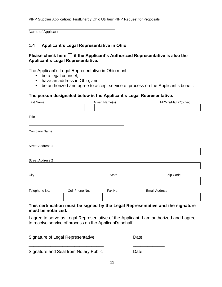Name of Applicant

## **1.4 Applicant's Legal Representative in Ohio**

\_\_\_\_\_\_\_\_\_\_\_\_\_\_\_\_\_\_\_\_\_\_\_\_\_\_\_\_\_\_\_\_\_\_\_\_\_\_\_\_\_\_\_

# **Please check here if the Applicant's Authorized Representative is also the Applicant's Legal Representative.**

The Applicant's Legal Representative in Ohio must:

- be a legal counsel;
- have an address in Ohio; and
- be authorized and agree to accept service of process on the Applicant's behalf.

#### **The person designated below is the Applicant's Legal Representative.**

| Last Name               |                | Given Name(s) | Mr/Mrs/Ms/Dr/(other)                                                            |
|-------------------------|----------------|---------------|---------------------------------------------------------------------------------|
|                         |                |               |                                                                                 |
| Title                   |                |               |                                                                                 |
|                         |                |               |                                                                                 |
| Company Name            |                |               |                                                                                 |
|                         |                |               |                                                                                 |
| <b>Street Address 1</b> |                |               |                                                                                 |
|                         |                |               |                                                                                 |
| <b>Street Address 2</b> |                |               |                                                                                 |
|                         |                |               |                                                                                 |
| City                    |                | State         | Zip Code                                                                        |
|                         |                |               |                                                                                 |
| Telephone No.           | Cell Phone No. | Fax No.       | <b>Email Address</b>                                                            |
|                         |                |               |                                                                                 |
|                         |                |               | This certification must be signed by the Legal Representative and the signature |

# **must be notarized.**

I agree to serve as Legal Representative of the Applicant. I am authorized and I agree to receive service of process on the Applicant's behalf.

Signature of Legal Representative **Date** \_\_\_\_\_\_\_\_\_\_\_\_\_\_\_\_\_\_\_\_\_\_\_\_\_\_\_\_\_\_\_ \_\_\_\_\_\_\_\_\_\_\_\_\_ Signature and Seal from Notary Public Date

\_\_\_\_\_\_\_\_\_\_\_\_\_\_\_\_\_\_\_\_\_\_\_\_\_\_\_\_\_\_\_ \_\_\_\_\_\_\_\_\_\_\_\_\_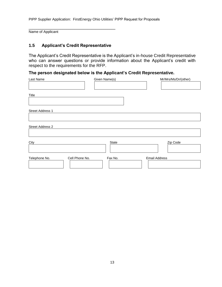Name of Applicant

#### **1.5 Applicant's Credit Representative**

\_\_\_\_\_\_\_\_\_\_\_\_\_\_\_\_\_\_\_\_\_\_\_\_\_\_\_\_\_\_\_\_\_\_\_\_\_\_\_\_\_\_\_

The Applicant's Credit Representative is the Applicant's in-house Credit Representative who can answer questions or provide information about the Applicant's credit with respect to the requirements for the RFP.

# **The person designated below is the Applicant's Credit Representative.**

| Last Name                       | Given Name(s) | Mr/Mrs/Ms/Dr/(other) |
|---------------------------------|---------------|----------------------|
|                                 |               |                      |
| Title                           |               |                      |
|                                 |               |                      |
| Street Address 1                |               |                      |
|                                 |               |                      |
| Street Address 2                |               |                      |
|                                 |               |                      |
| City                            | State         | Zip Code             |
|                                 |               |                      |
| Cell Phone No.<br>Telephone No. | Fax No.       | <b>Email Address</b> |
|                                 |               |                      |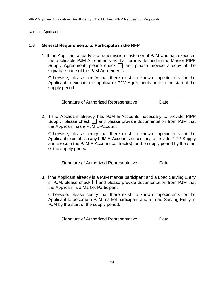Name of Applicant

#### **1.6 General Requirements to Participate in the RFP**

\_\_\_\_\_\_\_\_\_\_\_\_\_\_\_\_\_\_\_\_\_\_\_\_\_\_\_\_\_\_\_\_\_\_\_\_\_\_\_\_\_\_\_

1. If the Applicant already is a transmission customer of PJM who has executed the applicable PJM Agreements as that term is defined in the Master PIPP Supply Agreement, please check  $\Box$  and please provide a copy of the signature page of the PJM Agreements.

Otherwise, please certify that there exist no known impediments for the Applicant to execute the applicable PJM Agreements prior to the start of the supply period.

\_\_\_\_\_\_\_\_\_\_\_\_\_\_\_\_\_\_\_\_\_\_\_\_\_\_\_\_\_\_\_ \_\_\_\_\_\_\_\_\_\_

Signature of Authorized Representative **Date** 

2. If the Applicant already has PJM E-Accounts necessary to provide PIPP Supply, please check  $\Box$  and please provide documentation from PJM that the Applicant has a PJM E-Account.

Otherwise, please certify that there exist no known impediments for the Applicant to establish any PJM E-Accounts necessary to provide PIPP Supply and execute the PJM E-Account contract(s) for the supply period by the start of the supply period.

\_\_\_\_\_\_\_\_\_\_\_\_\_\_\_\_\_\_\_\_\_\_\_\_\_\_\_\_\_\_\_ \_\_\_\_\_\_\_\_\_\_

Signature of Authorized Representative Date

3. If the Applicant already is a PJM market participant and a Load Serving Entity in PJM, please check  $\Box$  and please provide documentation from PJM that the Applicant is a Market Participant.

Otherwise, please certify that there exist no known impediments for the Applicant to become a PJM market participant and a Load Serving Entity in PJM by the start of the supply period.

\_\_\_\_\_\_\_\_\_\_\_\_\_\_\_\_\_\_\_\_\_\_\_\_\_\_\_\_\_\_\_ \_\_\_\_\_\_\_\_\_\_

Signature of Authorized Representative **Date**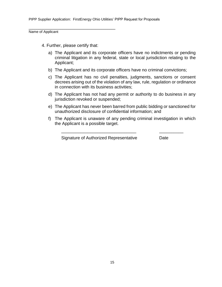Name of Applicant

4. Further, please certify that:

\_\_\_\_\_\_\_\_\_\_\_\_\_\_\_\_\_\_\_\_\_\_\_\_\_\_\_\_\_\_\_\_\_\_\_\_\_\_\_\_\_\_\_

- a) The Applicant and its corporate officers have no indictments or pending criminal litigation in any federal, state or local jurisdiction relating to the Applicant;
- b) The Applicant and its corporate officers have no criminal convictions;
- c) The Applicant has no civil penalties, judgments, sanctions or consent decrees arising out of the violation of any law, rule, regulation or ordinance in connection with its business activities;
- d) The Applicant has not had any permit or authority to do business in any jurisdiction revoked or suspended;
- e) The Applicant has never been barred from public bidding or sanctioned for unauthorized disclosure of confidential information; and
- f) The Applicant is unaware of any pending criminal investigation in which the Applicant is a possible target.

\_\_\_\_\_\_\_\_\_\_\_\_\_\_\_\_\_\_\_\_\_\_\_\_\_\_\_\_\_\_\_ \_\_\_\_\_\_\_\_\_\_

Signature of Authorized Representative Date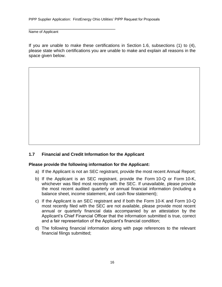\_\_\_\_\_\_\_\_\_\_\_\_\_\_\_\_\_\_\_\_\_\_\_\_\_\_\_\_\_\_\_\_\_\_\_\_\_\_\_\_\_\_\_

Name of Applicant

If you are unable to make these certifications in Section 1.6, subsections (1) to (4), please state which certifications you are unable to make and explain all reasons in the space given below.

#### **1.7 Financial and Credit Information for the Applicant**

#### **Please provide the following information for the Applicant:**

- a) If the Applicant is not an SEC registrant, provide the most recent Annual Report;
- b) If the Applicant is an SEC registrant, provide the Form 10-Q or Form 10-K, whichever was filed most recently with the SEC. If unavailable, please provide the most recent audited quarterly or annual financial information (including a balance sheet, income statement, and cash flow statement);
- c) If the Applicant is an SEC registrant and if both the Form 10-K and Form 10-Q most recently filed with the SEC are not available, please provide most recent annual or quarterly financial data accompanied by an attestation by the Applicant's Chief Financial Officer that the information submitted is true, correct and a fair representation of the Applicant's financial condition;
- d) The following financial information along with page references to the relevant financial filings submitted;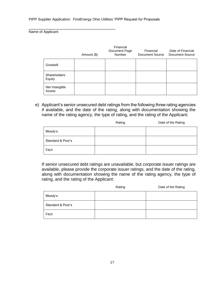\_\_\_\_\_\_\_\_\_\_\_\_\_\_\_\_\_\_\_\_\_\_\_\_\_\_\_\_\_\_\_\_\_\_\_\_\_\_\_\_\_\_\_

Name of Applicant

|                          | Amount (\$) | Financial<br>Document Page<br>Number | Financial<br>Document Source | Date of Financial<br>Document Source |
|--------------------------|-------------|--------------------------------------|------------------------------|--------------------------------------|
| Goodwill                 |             |                                      |                              |                                      |
| Shareholders'<br>Equity  |             |                                      |                              |                                      |
| Net Intangible<br>Assets |             |                                      |                              |                                      |

e) Applicant's senior unsecured debt ratings from the following three rating agencies if available, and the date of the rating, along with documentation showing the name of the rating agency, the type of rating, and the rating of the Applicant;

|                   | Rating | Date of the Rating |
|-------------------|--------|--------------------|
| Moody's           |        |                    |
| Standard & Poor's |        |                    |
| Fitch             |        |                    |

If senior unsecured debt ratings are unavailable, but corporate issuer ratings are available, please provide the corporate issuer ratings, and the date of the rating, along with documentation showing the name of the rating agency, the type of rating, and the rating of the Applicant:

|                   | Rating | Date of the Rating |
|-------------------|--------|--------------------|
| Moody's           |        |                    |
| Standard & Poor's |        |                    |
| Fitch             |        |                    |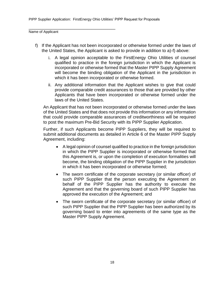\_\_\_\_\_\_\_\_\_\_\_\_\_\_\_\_\_\_\_\_\_\_\_\_\_\_\_\_\_\_\_\_\_\_\_\_\_\_\_\_\_\_\_

Name of Applicant

- f) If the Applicant has not been incorporated or otherwise formed under the laws of the United States, the Applicant is asked to provide in addition to a)-f) above:
	- i. A legal opinion acceptable to the FirstEnergy Ohio Utilities of counsel qualified to practice in the foreign jurisdiction in which the Applicant is incorporated or otherwise formed that the Master PIPP Supply Agreement will become the binding obligation of the Applicant in the jurisdiction in which it has been incorporated or otherwise formed.
	- ii. Any additional information that the Applicant wishes to give that could provide comparable credit assurances to those that are provided by other Applicants that have been incorporated or otherwise formed under the laws of the United States.

An Applicant that has not been incorporated or otherwise formed under the laws of the United States and that does not provide this information or any information that could provide comparable assurances of creditworthiness will be required to post the maximum Pre-Bid Security with its PIPP Supplier Application.

Further, if such Applicants become PIPP Suppliers, they will be required to submit additional documents as detailed in Article 6 of the Master PIPP Supply Agreement, including:

- A legal opinion of counsel qualified to practice in the foreign jurisdiction in which the PIPP Supplier is incorporated or otherwise formed that this Agreement is, or upon the completion of execution formalities will become, the binding obligation of the PIPP Supplier in the jurisdiction in which it has been incorporated or otherwise formed;
- The sworn certificate of the corporate secretary (or similar officer) of such PIPP Supplier that the person executing the Agreement on behalf of the PIPP Supplier has the authority to execute the Agreement and that the governing board of such PIPP Supplier has approved the execution of the Agreement; and
- The sworn certificate of the corporate secretary (or similar officer) of such PIPP Supplier that the PIPP Supplier has been authorized by its governing board to enter into agreements of the same type as the Master PIPP Supply Agreement.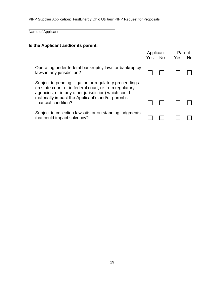Name of Applicant

# **Is the Applicant and/or its parent:**

\_\_\_\_\_\_\_\_\_\_\_\_\_\_\_\_\_\_\_\_\_\_\_\_\_\_\_\_\_\_\_\_\_\_\_\_\_\_\_\_\_\_\_

|                                                                                                                                                                                                                                                         | Applicant<br>Yes | <b>No</b> | Parent<br>Yes | No. |
|---------------------------------------------------------------------------------------------------------------------------------------------------------------------------------------------------------------------------------------------------------|------------------|-----------|---------------|-----|
| Operating under federal bankruptcy laws or bankruptcy<br>laws in any jurisdiction?                                                                                                                                                                      |                  |           |               |     |
| Subject to pending litigation or regulatory proceedings<br>(in state court, or in federal court, or from regulatory<br>agencies, or in any other jurisdiction) which could<br>materially impact the Applicant's and/or parent's<br>financial condition? |                  |           |               |     |
| Subject to collection lawsuits or outstanding judgments<br>that could impact solvency?                                                                                                                                                                  |                  |           |               |     |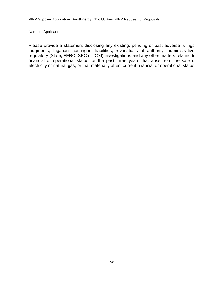\_\_\_\_\_\_\_\_\_\_\_\_\_\_\_\_\_\_\_\_\_\_\_\_\_\_\_\_\_\_\_\_\_\_\_\_\_\_\_\_\_\_\_

Name of Applicant

Please provide a statement disclosing any existing, pending or past adverse rulings, judgments, litigation, contingent liabilities, revocations of authority, administrative, regulatory (State, FERC, SEC or DOJ) investigations and any other matters relating to financial or operational status for the past three years that arise from the sale of electricity or natural gas, or that materially affect current financial or operational status.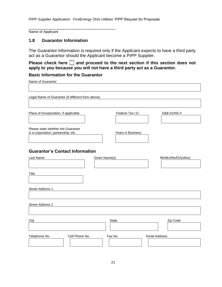Name of Applicant

#### **1.8 Guarantor Information**

The Guarantor information is required only if the Applicant expects to have a third party act as a Guarantor should the Applicant become a PIPP Supplier.

Please check here  $\Box$  and proceed to the next section if this section does not **apply to you because you will not have a third party act as a Guarantor.**

┑

#### **Basic Information for the Guarantor**

\_\_\_\_\_\_\_\_\_\_\_\_\_\_\_\_\_\_\_\_\_\_\_\_\_\_\_\_\_\_\_\_\_\_\_\_\_\_\_\_\_\_\_

Name of Guarantor

| Legal Name of Guarantor (if different from above)                         |                   |                      |
|---------------------------------------------------------------------------|-------------------|----------------------|
|                                                                           |                   |                      |
|                                                                           |                   |                      |
| Place of Incorporation, if applicable                                     | Federal Tax I.D.  | D&B DUNS#            |
|                                                                           |                   |                      |
| Please state whether the Guarantor<br>is a corporation, partnership, etc. | Years in Business |                      |
|                                                                           |                   |                      |
| <b>Guarantor's Contact Information</b>                                    |                   |                      |
| Last Name                                                                 | Given Name(s)     | Mr/Mrs/Ms/Dr/(other) |
|                                                                           |                   |                      |
|                                                                           |                   |                      |
| Title                                                                     |                   |                      |
|                                                                           |                   |                      |
| Street Address 1                                                          |                   |                      |
|                                                                           |                   |                      |
| <b>Street Address 2</b>                                                   |                   |                      |
|                                                                           |                   |                      |
|                                                                           |                   |                      |
| City                                                                      | State             | Zip Code             |
| Cell Phone No.<br>Telephone No.                                           | Fax No.           | <b>Email Address</b> |
|                                                                           |                   |                      |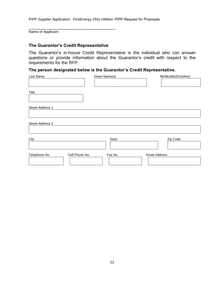Name of Applicant

#### **The Guarantor's Credit Representative**

\_\_\_\_\_\_\_\_\_\_\_\_\_\_\_\_\_\_\_\_\_\_\_\_\_\_\_\_\_\_\_\_\_\_\_\_\_\_\_\_\_\_\_

The Guarantor's in-house Credit Representative is the individual who can answer questions or provide information about the Guarantor's credit with respect to the requirements for the RFP.

#### **The person designated below is the Guarantor's Credit Representative.**

| Last Name        | Given Name(s)             | Mr/Mrs/Ms/Dr/(other) |
|------------------|---------------------------|----------------------|
|                  |                           |                      |
| Title            |                           |                      |
|                  |                           |                      |
| Street Address 1 |                           |                      |
|                  |                           |                      |
| Street Address 2 |                           |                      |
|                  |                           |                      |
| City             | State                     | Zip Code             |
|                  |                           |                      |
| Telephone No.    | Cell Phone No.<br>Fax No. | <b>Email Address</b> |
|                  |                           |                      |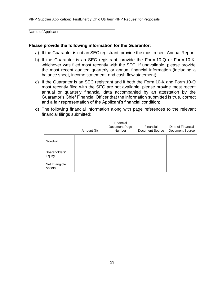Name of Applicant

#### **Please provide the following information for the Guarantor:**

\_\_\_\_\_\_\_\_\_\_\_\_\_\_\_\_\_\_\_\_\_\_\_\_\_\_\_\_\_\_\_\_\_\_\_\_\_\_\_\_\_\_\_

- a) If the Guarantor is not an SEC registrant, provide the most recent Annual Report;
- b) If the Guarantor is an SEC registrant, provide the Form 10-Q or Form 10-K, whichever was filed most recently with the SEC. If unavailable, please provide the most recent audited quarterly or annual financial information (including a balance sheet, income statement, and cash flow statement);
- c) If the Guarantor is an SEC registrant and if both the Form 10-K and Form 10-Q most recently filed with the SEC are not available, please provide most recent annual or quarterly financial data accompanied by an attestation by the Guarantor's Chief Financial Officer that the information submitted is true, correct and a fair representation of the Applicant's financial condition;
- d) The following financial information along with page references to the relevant financial filings submitted;

|                          | Amount (\$) | Financial<br>Document Page<br>Number | Financial<br>Document Source | Date of Financial<br>Document Source |
|--------------------------|-------------|--------------------------------------|------------------------------|--------------------------------------|
| Goodwill                 |             |                                      |                              |                                      |
| Shareholders'<br>Equity  |             |                                      |                              |                                      |
| Net Intangible<br>Assets |             |                                      |                              |                                      |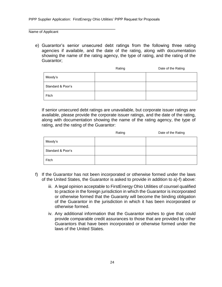\_\_\_\_\_\_\_\_\_\_\_\_\_\_\_\_\_\_\_\_\_\_\_\_\_\_\_\_\_\_\_\_\_\_\_\_\_\_\_\_\_\_\_

Name of Applicant

e) Guarantor's senior unsecured debt ratings from the following three rating agencies if available, and the date of the rating, along with documentation showing the name of the rating agency, the type of rating, and the rating of the Guarantor;

|                   | Rating | Date of the Rating |
|-------------------|--------|--------------------|
| Moody's           |        |                    |
| Standard & Poor's |        |                    |
| Fitch             |        |                    |

If senior unsecured debt ratings are unavailable, but corporate issuer ratings are available, please provide the corporate issuer ratings, and the date of the rating, along with documentation showing the name of the rating agency, the type of rating, and the rating of the Guarantor:

|                   | Rating | Date of the Rating |
|-------------------|--------|--------------------|
| Moody's           |        |                    |
| Standard & Poor's |        |                    |
| Fitch             |        |                    |

- f) If the Guarantor has not been incorporated or otherwise formed under the laws of the United States, the Guarantor is asked to provide in addition to a)-f) above:
	- iii. A legal opinion acceptable to FirstEnergy Ohio Utilities of counsel qualified to practice in the foreign jurisdiction in which the Guarantor is incorporated or otherwise formed that the Guaranty will become the binding obligation of the Guarantor in the jurisdiction in which it has been incorporated or otherwise formed.
	- iv. Any additional information that the Guarantor wishes to give that could provide comparable credit assurances to those that are provided by other Guarantors that have been incorporated or otherwise formed under the laws of the United States.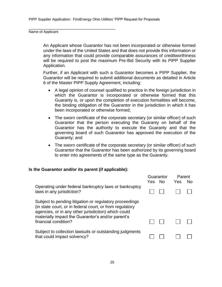\_\_\_\_\_\_\_\_\_\_\_\_\_\_\_\_\_\_\_\_\_\_\_\_\_\_\_\_\_\_\_\_\_\_\_\_\_\_\_\_\_\_\_

Name of Applicant

An Applicant whose Guarantor has not been incorporated or otherwise formed under the laws of the United States and that does not provide this information or any information that could provide comparable assurances of creditworthiness will be required to post the maximum Pre-Bid Security with its PIPP Supplier Application.

Further, if an Applicant with such a Guarantor becomes a PIPP Supplier, the Guarantor will be required to submit additional documents as detailed in Article 6 of the Master PIPP Supply Agreement, including:

- A legal opinion of counsel qualified to practice in the foreign jurisdiction in which the Guarantor is incorporated or otherwise formed that this Guaranty is, or upon the completion of execution formalities will become, the binding obligation of the Guarantor in the jurisdiction in which it has been incorporated or otherwise formed;
- The sworn certificate of the corporate secretary (or similar officer) of such Guarantor that the person executing the Guaranty on behalf of the Guarantor has the authority to execute the Guaranty and that the governing board of such Guarantor has approved the execution of the Guaranty; and
- The sworn certificate of the corporate secretary (or similar officer) of such Guarantor that the Guarantor has been authorized by its governing board to enter into agreements of the same type as the Guaranty.

#### **Is the Guarantor and/or its parent (if applicable):**

|                                                                                                                                                                                                                                                         | Yes No | Guarantor | Parent<br>Yes | No. |
|---------------------------------------------------------------------------------------------------------------------------------------------------------------------------------------------------------------------------------------------------------|--------|-----------|---------------|-----|
| Operating under federal bankruptcy laws or bankruptcy<br>laws in any jurisdiction?                                                                                                                                                                      |        |           |               |     |
| Subject to pending litigation or regulatory proceedings<br>(in state court, or in federal court, or from regulatory<br>agencies, or in any other jurisdiction) which could<br>materially impact the Guarantor's and/or parent's<br>financial condition? |        |           |               |     |
| Subject to collection lawsuits or outstanding judgments<br>that could impact solvency?                                                                                                                                                                  |        |           |               |     |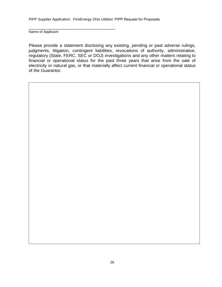\_\_\_\_\_\_\_\_\_\_\_\_\_\_\_\_\_\_\_\_\_\_\_\_\_\_\_\_\_\_\_\_\_\_\_\_\_\_\_\_\_\_\_

Name of Applicant

Please provide a statement disclosing any existing, pending or past adverse rulings, judgments, litigation, contingent liabilities, revocations of authority, administrative, regulatory (State, FERC, SEC or DOJ) investigations and any other matters relating to financial or operational status for the past three years that arise from the sale of electricity or natural gas, or that materially affect current financial or operational status of the Guarantor.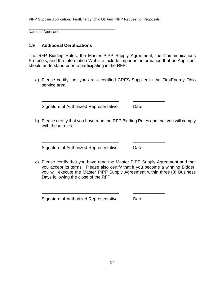Name of Applicant

#### **1.9 Additional Certifications**

\_\_\_\_\_\_\_\_\_\_\_\_\_\_\_\_\_\_\_\_\_\_\_\_\_\_\_\_\_\_\_\_\_\_\_\_\_\_\_\_\_\_\_

The RFP Bidding Rules, the Master PIPP Supply Agreement, the Communications Protocols, and the Information Website include important information that an Applicant should understand prior to participating in the RFP.

a) Please certify that you are a certified CRES Supplier in the FirstEnergy Ohio service area.

\_\_\_\_\_\_\_\_\_\_\_\_\_\_\_\_\_\_\_\_\_\_\_\_\_\_\_\_\_\_\_\_ \_\_\_\_\_\_\_\_\_\_\_\_\_

\_\_\_\_\_\_\_\_\_\_\_\_\_\_\_\_\_\_\_\_\_\_\_\_\_\_\_\_\_\_\_\_ \_\_\_\_\_\_\_\_\_\_\_\_\_

\_\_\_\_\_\_\_\_\_\_\_\_\_\_\_\_\_\_\_\_\_\_\_\_\_\_\_\_\_\_\_\_ \_\_\_\_\_\_\_\_\_\_\_\_\_

Signature of Authorized Representative Date

b) Please certify that you have read the RFP Bidding Rules and that you will comply with these rules.

Signature of Authorized Representative Date

c) Please certify that you have read the Master PIPP Supply Agreement and that you accept its terms. Please also certify that if you become a winning Bidder, you will execute the Master PIPP Supply Agreement within three (3) Business Days following the close of the RFP:

Signature of Authorized Representative Date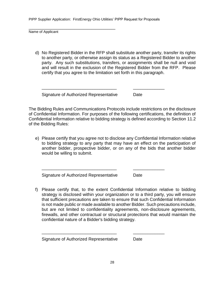Name of Applicant

d) No Registered Bidder in the RFP shall substitute another party, transfer its rights to another party, or otherwise assign its status as a Registered Bidder to another party. Any such substitutions, transfers, or assignments shall be null and void and will result in the exclusion of the Registered Bidder from the RFP. Please certify that you agree to the limitation set forth in this paragraph.

Signature of Authorized Representative Date

\_\_\_\_\_\_\_\_\_\_\_\_\_\_\_\_\_\_\_\_\_\_\_\_\_\_\_\_\_\_\_\_\_\_\_\_\_\_\_\_\_\_\_

The Bidding Rules and Communications Protocols include restrictions on the disclosure of Confidential Information. For purposes of the following certifications, the definition of Confidential Information relative to bidding strategy is defined according to Section 11.2 of the Bidding Rules:

\_\_\_\_\_\_\_\_\_\_\_\_\_\_\_\_\_\_\_\_\_\_\_\_\_\_\_\_\_\_\_ \_\_\_\_\_\_\_\_\_\_\_\_\_

\_\_\_\_\_\_\_\_\_\_\_\_\_\_\_\_\_\_\_\_\_\_\_\_\_\_\_\_\_\_\_ \_\_\_\_\_\_\_\_\_\_\_\_\_

\_\_\_\_\_\_\_\_\_\_\_\_\_\_\_\_\_\_\_\_\_\_\_\_\_\_\_\_\_\_\_ \_\_\_\_\_\_\_\_\_\_\_\_\_

e) Please certify that you agree not to disclose any Confidential Information relative to bidding strategy to any party that may have an effect on the participation of another bidder, prospective bidder, or on any of the bids that another bidder would be willing to submit.

Signature of Authorized Representative Date

f) Please certify that, to the extent Confidential Information relative to bidding strategy is disclosed within your organization or to a third party, you will ensure that sufficient precautions are taken to ensure that such Confidential Information is not made public or made available to another Bidder. Such precautions include, but are not limited to confidentiality agreements, non-disclosure agreements, firewalls, and other contractual or structural protections that would maintain the confidential nature of a Bidder's bidding strategy.

Signature of Authorized Representative Date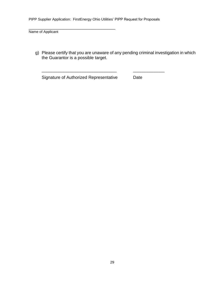Name of Applicant

g) Please certify that you are unaware of any pending criminal investigation in which the Guarantor is a possible target.

\_\_\_\_\_\_\_\_\_\_\_\_\_\_\_\_\_\_\_\_\_\_\_\_\_\_\_\_\_\_\_ \_\_\_\_\_\_\_\_\_\_\_\_\_

Signature of Authorized Representative Date

\_\_\_\_\_\_\_\_\_\_\_\_\_\_\_\_\_\_\_\_\_\_\_\_\_\_\_\_\_\_\_\_\_\_\_\_\_\_\_\_\_\_\_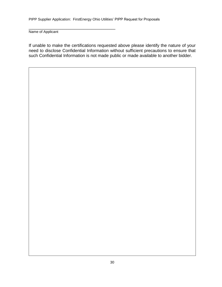\_\_\_\_\_\_\_\_\_\_\_\_\_\_\_\_\_\_\_\_\_\_\_\_\_\_\_\_\_\_\_\_\_\_\_\_\_\_\_\_\_\_\_

Name of Applicant

If unable to make the certifications requested above please identify the nature of your need to disclose Confidential Information without sufficient precautions to ensure that such Confidential Information is not made public or made available to another bidder.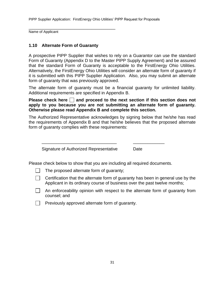Name of Applicant

# **1.10 Alternate Form of Guaranty**

\_\_\_\_\_\_\_\_\_\_\_\_\_\_\_\_\_\_\_\_\_\_\_\_\_\_\_\_\_\_\_\_\_\_\_\_\_\_\_\_\_\_\_

A prospective PIPP Supplier that wishes to rely on a Guarantor can use the standard Form of Guaranty (Appendix D to the Master PIPP Supply Agreement) and be assured that the standard Form of Guaranty is acceptable to the FirstEnergy Ohio Utilities. Alternatively, the FirstEnergy Ohio Utilities will consider an alternate form of guaranty if it is submitted with this PIPP Supplier Application. Also, you may submit an alternate form of guaranty that was previously approved.

The alternate form of guaranty must be a financial guaranty for unlimited liability. Additional requirements are specified in Appendix B.

**Please check here**  $\Box$  **and proceed to the next section if this section does not apply to you because you are not submitting an alternate form of guaranty. Otherwise please read Appendix B and complete this section.**

The Authorized Representative acknowledges by signing below that he/she has read the requirements of Appendix B and that he/she believes that the proposed alternate form of guaranty complies with these requirements:

Signature of Authorized Representative Date

Please check below to show that you are including all required documents.

\_\_\_\_\_\_\_\_\_\_\_\_\_\_\_\_\_\_\_\_\_\_\_\_\_\_\_\_\_\_\_ \_\_\_\_\_\_\_\_\_\_\_\_\_

- The proposed alternate form of guaranty;
- $\vert \ \vert$  Certification that the alternate form of guaranty has been in general use by the Applicant in its ordinary course of business over the past twelve months;
- An enforceability opinion with respect to the alternate form of guaranty from counsel; and

 $\Box$  Previously approved alternate form of guaranty.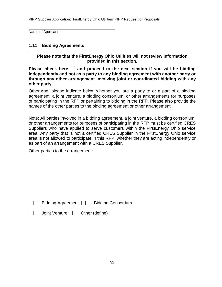Name of Applicant

#### **1.11 Bidding Agreements**

\_\_\_\_\_\_\_\_\_\_\_\_\_\_\_\_\_\_\_\_\_\_\_\_\_\_\_\_\_\_\_\_\_\_\_\_\_\_\_\_\_\_\_

**Please note that the FirstEnergy Ohio Utilities will not review information provided in this section.** 

**Please check here**  $\Box$  **and proceed to the next section if you will be bidding independently and not as a party to any bidding agreement with another party or through any other arrangement involving joint or coordinated bidding with any other party.** 

Otherwise, please indicate below whether you are a party to or a part of a bidding agreement, a joint venture, a bidding consortium, or other arrangements for purposes of participating in the RFP or pertaining to bidding in the RFP. Please also provide the names of the other parties to the bidding agreement or other arrangement.

Note: All parties involved in a bidding agreement, a joint venture, a bidding consortium, or other arrangements for purposes of participating in the RFP must be certified CRES Suppliers who have applied to serve customers within the FirstEnergy Ohio service area. Any party that is not a certified CRES Supplier in the FirstEnergy Ohio service area is not allowed to participate in this RFP, whether they are acting independently or as part of an arrangement with a CRES Supplier.

Other parties to the arrangement:

| Bidding Agreement              | <b>Bidding Consortium</b> |
|--------------------------------|---------------------------|
| Joint Venture   Cther (define) |                           |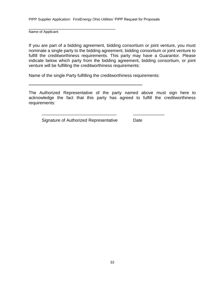\_\_\_\_\_\_\_\_\_\_\_\_\_\_\_\_\_\_\_\_\_\_\_\_\_\_\_\_\_\_\_\_\_\_\_\_\_\_\_\_\_\_\_ Name of Applicant

If you are part of a bidding agreement, bidding consortium or joint venture, you must nominate a single party to the bidding agreement, bidding consortium or joint venture to fulfill the creditworthiness requirements. This party may have a Guarantor. Please indicate below which party from the bidding agreement, bidding consortium, or joint venture will be fulfilling the creditworthiness requirements:

Name of the single Party fulfilling the creditworthiness requirements:

The Authorized Representative of the party named above must sign here to acknowledge the fact that this party has agreed to fulfill the creditworthiness requirements:

\_\_\_\_\_\_\_\_\_\_\_\_\_\_\_\_\_\_\_\_\_\_\_\_\_\_\_\_\_\_\_ \_\_\_\_\_\_\_\_\_\_\_\_\_

Signature of Authorized Representative Date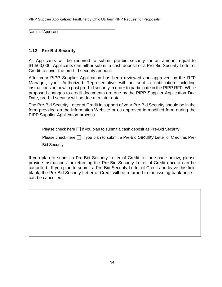Name of Applicant

# **1.12 Pre-Bid Security**

\_\_\_\_\_\_\_\_\_\_\_\_\_\_\_\_\_\_\_\_\_\_\_\_\_\_\_\_\_\_\_\_\_\_\_\_\_\_\_\_\_\_\_

All Applicants will be required to submit pre-bid security for an amount equal to \$1,500,000. Applicants can either submit a cash deposit or a Pre-Bid Security Letter of Credit to cover the pre-bid security amount.

After your PIPP Supplier Application has been reviewed and approved by the RFP Manager, your Authorized Representative will be sent a notification including instructions on how to post pre-bid security in order to participate in the PIPP RFP. While proposed changes to credit documents are due by the PIPP Supplier Application Due Date, pre-bid security will be due at a later date.

The Pre-Bid Security Letter of Credit in support of your Pre-Bid Security should be in the form provided on the Information Website or as approved in modified form during the PIPP Supplier Application process.

Please check here  $\Box$  if you plan to submit a cash deposit as Pre-Bid Security.

Please check here  $\Box$  if you plan to submit a Pre-Bid Security Letter of Credit as Pre-Bid Security.

If you plan to submit a Pre-Bid Security Letter of Credit, in the space below, please provide instructions for returning the Pre-Bid Security Letter of Credit once it can be cancelled. If you plan to submit a Pre-Bid Security Letter of Credit and leave this field blank, the Pre-Bid Security Letter of Credit will be returned to the issuing bank once it can be cancelled.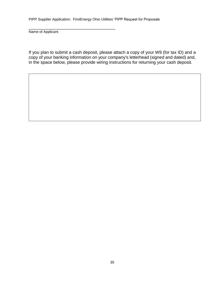\_\_\_\_\_\_\_\_\_\_\_\_\_\_\_\_\_\_\_\_\_\_\_\_\_\_\_\_\_\_\_\_\_\_\_\_\_\_\_\_\_\_\_

Name of Applicant

If you plan to submit a cash deposit, please attach a copy of your W9 (for tax ID) and a copy of your banking information on your company's letterhead (signed and dated) and, in the space below, please provide wiring instructions for returning your cash deposit.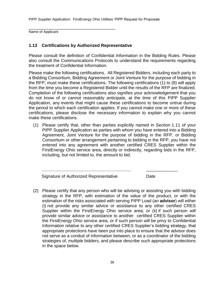\_\_\_\_\_\_\_\_\_\_\_\_\_\_\_\_\_\_\_\_\_\_\_\_\_\_\_\_\_\_\_\_\_\_\_\_\_\_\_\_\_\_\_ Name of Applicant

# **1.13 Certifications by Authorized Representative**

Please consult the definition of Confidential Information in the Bidding Rules. Please also consult the Communications Protocols to understand the requirements regarding the treatment of Confidential Information.

Please make the following certifications. All Registered Bidders, including each party to a Bidding Consortium, Bidding Agreement or Joint Venture for the purpose of bidding in the RFP, must make these certifications. The following certifications (1) to (8) will apply from the time you become a Registered Bidder until the results of the RFP are finalized. Completion of the following certifications also signifies your acknowledgement that you do not know of or cannot reasonably anticipate, at the time of this PIPP Supplier Application, any events that might cause these certifications to become untrue during the period to which each certification applies. If you cannot make one or more of these certifications, please disclose the necessary information to explain why you cannot make these certifications.

(1) Please certify that, other than parties explicitly named in Section 1.11 of your PIPP Supplier Application as parties with whom you have entered into a Bidding Agreement, Joint Venture for the purpose of bidding in the RFP, or Bidding Consortium or other arrangement pertaining to bidding in the RFP, you have not entered into any agreement with another certified CRES Supplier within the FirstEnergy Ohio service area, directly or indirectly, regarding bids in the RFP, including, but not limited to, the amount to bid.

**\_\_\_\_\_\_\_\_\_\_\_\_\_\_\_\_\_\_\_\_\_\_\_\_\_\_\_\_\_\_\_\_\_\_\_\_\_** \_\_\_\_\_\_\_\_\_\_\_\_\_

Signature of Authorized Representative **Date** 

(2) Please certify that any person who will be advising or assisting you with bidding strategy in the RFP, with estimation of the value of the product, or with the estimation of the risks associated with serving PIPP Load (an **advisor**) will either (i) not provide any similar advice or assistance to any other certified CRES Supplier within the FirstEnergy Ohio service area; or (ii) if such person will provide similar advice or assistance to another certified CRES Supplier within the FirstEnergy Ohio service area, or if such person will be privy to Confidential Information relative to any other certified CRES Supplier's bidding strategy, that appropriate protections have been put into place to ensure that the advisor does not serve as a conduit of information between, or as a coordinator of the bidding strategies of, multiple bidders, and please describe such appropriate protections in the space below.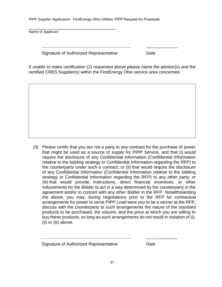Name of Applicant

Signature of Authorized Representative Date

\_\_\_\_\_\_\_\_\_\_\_\_\_\_\_\_\_\_\_\_\_\_\_\_\_\_\_\_\_\_\_\_\_\_\_\_\_\_\_\_\_\_\_

If unable to make certification (2) requested above please name the advisor(s) and the certified CRES Supplier(s) within the FirstEnergy Ohio service area concerned.

**\_\_\_\_\_\_\_\_\_\_\_\_\_\_\_\_\_\_\_\_\_\_\_\_\_\_\_\_\_\_\_\_\_\_\_\_\_** \_\_\_\_\_\_\_\_\_\_\_\_\_

(3) Please certify that you are not a party to any contract for the purchase of power that might be used as a source of supply for PIPP Service, and that (i) would require the disclosure of any Confidential Information (Confidential Information relative to the bidding strategy or Confidential Information regarding the RFP) to the counterparty under such a contract; or (ii) that would require the disclosure of any Confidential Information (Confidential Information relative to the bidding strategy or Confidential Information regarding the RFP) to any other party; or (iii) that would provide instructions, direct financial incentives, or other inducements for the Bidder to act in a way determined by the counterparty in the agreement and/or in concert with any other Bidder in the RFP. Notwithstanding the above, you may, during negotiations prior to the RFP for contractual arrangements for power to serve PIPP Load were you to be a winner at the RFP, discuss with the counterparty to such arrangements the nature of the standard products to be purchased, the volume, and the price at which you are willing to buy these products, so long as such arrangements do not result in violation of (i), (ii) or (iii) above.

Signature of Authorized Representative **Date** 

**\_\_\_\_\_\_\_\_\_\_\_\_\_\_\_\_\_\_\_\_\_\_\_\_\_\_\_\_\_\_\_\_\_\_\_\_\_** \_\_\_\_\_\_\_\_\_\_\_\_\_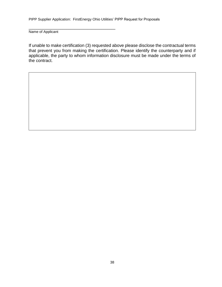\_\_\_\_\_\_\_\_\_\_\_\_\_\_\_\_\_\_\_\_\_\_\_\_\_\_\_\_\_\_\_\_\_\_\_\_\_\_\_\_\_\_\_

Name of Applicant

If unable to make certification (3) requested above please disclose the contractual terms that prevent you from making the certification. Please identify the counterparty and if applicable, the party to whom information disclosure must be made under the terms of the contract.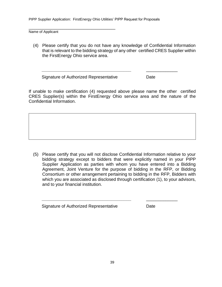Name of Applicant

(4) Please certify that you do not have any knowledge of Confidential Information that is relevant to the bidding strategy of any other certified CRES Supplier within the FirstEnergy Ohio service area.

Signature of Authorized Representative Date

\_\_\_\_\_\_\_\_\_\_\_\_\_\_\_\_\_\_\_\_\_\_\_\_\_\_\_\_\_\_\_\_\_\_\_\_\_\_\_\_\_\_\_

If unable to make certification (4) requested above please name the other certified CRES Supplier(s) within the FirstEnergy Ohio service area and the nature of the Confidential Information.

**\_\_\_\_\_\_\_\_\_\_\_\_\_\_\_\_\_\_\_\_\_\_\_\_\_\_\_\_\_\_\_\_\_\_\_\_\_** \_\_\_\_\_\_\_\_\_\_\_\_\_

(5) Please certify that you will not disclose Confidential Information relative to your bidding strategy except to bidders that were explicitly named in your PIPP Supplier Application as parties with whom you have entered into a Bidding Agreement, Joint Venture for the purpose of bidding in the RFP, or Bidding Consortium or other arrangement pertaining to bidding in the RFP, Bidders with which you are associated as disclosed through certification (1), to your advisors, and to your financial institution.

**\_\_\_\_\_\_\_\_\_\_\_\_\_\_\_\_\_\_\_\_\_\_\_\_\_\_\_\_\_\_\_\_\_\_\_\_\_** \_\_\_\_\_\_\_\_\_\_\_\_\_

Signature of Authorized Representative Date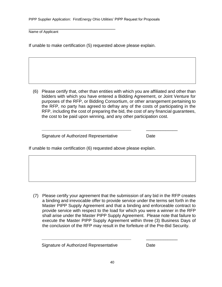\_\_\_\_\_\_\_\_\_\_\_\_\_\_\_\_\_\_\_\_\_\_\_\_\_\_\_\_\_\_\_\_\_\_\_\_\_\_\_\_\_\_\_ Name of Applicant

If unable to make certification (5) requested above please explain.

(6) Please certify that, other than entities with which you are affiliated and other than bidders with which you have entered a Bidding Agreement, or Joint Venture for purposes of the RFP, or Bidding Consortium, or other arrangement pertaining to the RFP, no party has agreed to defray any of the costs of participating in the RFP, including the cost of preparing the bid, the cost of any financial guarantees, the cost to be paid upon winning, and any other participation cost.

**\_\_\_\_\_\_\_\_\_\_\_\_\_\_\_\_\_\_\_\_\_\_\_\_\_\_\_\_\_\_\_\_\_\_\_\_\_** \_\_\_\_\_\_\_\_\_\_\_\_\_

Signature of Authorized Representative **Date** 

If unable to make certification (6) requested above please explain.

(7) Please certify your agreement that the submission of any bid in the RFP creates a binding and irrevocable offer to provide service under the terms set forth in the Master PIPP Supply Agreement and that a binding and enforceable contract to provide service with respect to the load for which you were a winner in the RFP shall arise under the Master PIPP Supply Agreement. Please note that failure to execute the Master PIPP Supply Agreement within three (3) Business Days of the conclusion of the RFP may result in the forfeiture of the Pre-Bid Security.

Signature of Authorized Representative **Date** 

**\_\_\_\_\_\_\_\_\_\_\_\_\_\_\_\_\_\_\_\_\_\_\_\_\_\_\_\_\_\_\_\_\_\_\_\_\_** \_\_\_\_\_\_\_\_\_\_\_\_\_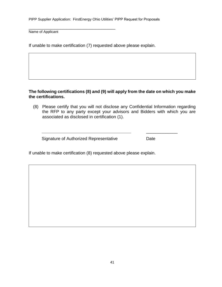Name of Applicant

If unable to make certification (7) requested above please explain.

\_\_\_\_\_\_\_\_\_\_\_\_\_\_\_\_\_\_\_\_\_\_\_\_\_\_\_\_\_\_\_\_\_\_\_\_\_\_\_\_\_\_\_

#### **The following certifications (8) and (9) will apply from the date on which you make the certifications.**

(8) Please certify that you will not disclose any Confidential Information regarding the RFP to any party except your advisors and Bidders with which you are associated as disclosed in certification (1).

**\_\_\_\_\_\_\_\_\_\_\_\_\_\_\_\_\_\_\_\_\_\_\_\_\_\_\_\_\_\_\_\_\_\_\_\_\_** \_\_\_\_\_\_\_\_\_\_\_\_\_

Signature of Authorized Representative Date

If unable to make certification (8) requested above please explain.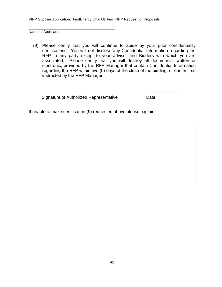Name of Applicant

(9) Please certify that you will continue to abide by your prior confidentiality certifications. You will not disclose any Confidential Information regarding the RFP to any party except to your advisor and Bidders with which you are associated. Please certify that you will destroy all documents, written or electronic, provided by the RFP Manager that contain Confidential Information regarding the RFP within five (5) days of the close of the bidding, or earlier if so instructed by the RFP Manager.

**\_\_\_\_\_\_\_\_\_\_\_\_\_\_\_\_\_\_\_\_\_\_\_\_\_\_\_\_\_\_\_\_\_\_\_\_\_** \_\_\_\_\_\_\_\_\_\_\_\_\_

Signature of Authorized Representative Date

\_\_\_\_\_\_\_\_\_\_\_\_\_\_\_\_\_\_\_\_\_\_\_\_\_\_\_\_\_\_\_\_\_\_\_\_\_\_\_\_\_\_\_

If unable to make certification (9) requested above please explain.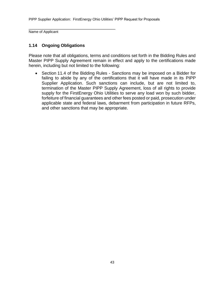\_\_\_\_\_\_\_\_\_\_\_\_\_\_\_\_\_\_\_\_\_\_\_\_\_\_\_\_\_\_\_\_\_\_\_\_\_\_\_\_\_\_\_ Name of Applicant

## **1.14 Ongoing Obligations**

Please note that all obligations, terms and conditions set forth in the Bidding Rules and Master PIPP Supply Agreement remain in effect and apply to the certifications made herein, including but not limited to the following:

• Section 11.4 of the Bidding Rules - Sanctions may be imposed on a Bidder for failing to abide by any of the certifications that it will have made in its PIPP Supplier Application. Such sanctions can include, but are not limited to, termination of the Master PIPP Supply Agreement, loss of all rights to provide supply for the FirstEnergy Ohio Utilities to serve any load won by such bidder, forfeiture of financial guarantees and other fees posted or paid, prosecution under applicable state and federal laws, debarment from participation in future RFPs, and other sanctions that may be appropriate.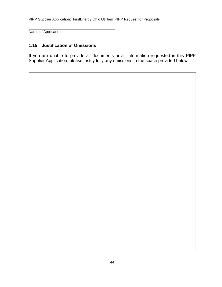Name of Applicant

## **1.15 Justification of Omissions**

\_\_\_\_\_\_\_\_\_\_\_\_\_\_\_\_\_\_\_\_\_\_\_\_\_\_\_\_\_\_\_\_\_\_\_\_\_\_\_\_\_\_\_

If you are unable to provide all documents or all information requested in this PIPP Supplier Application, please justify fully any omissions in the space provided below.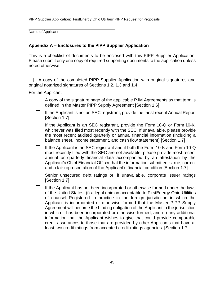Name of Applicant

#### **Appendix A – Enclosures to the PIPP Supplier Application**

\_\_\_\_\_\_\_\_\_\_\_\_\_\_\_\_\_\_\_\_\_\_\_\_\_\_\_\_\_\_\_\_\_\_\_\_\_\_\_\_\_\_\_

This is a checklist of documents to be enclosed with this PIPP Supplier Application. Please submit only one copy of required supporting documents to the application unless noted otherwise.

A copy of the completed PIPP Supplier Application with original signatures and original notarized signatures of Sections 1.2, 1.3 and 1.4

For the Applicant:

- $\Box$  A copy of the signature page of the applicable PJM Agreements as that term is defined in the Master PIPP Supply Agreement [Section 1.6]
- If the Applicant is not an SEC registrant, provide the most recent Annual Report  $\mathbf{1}$ [Section 1.7]
- If the Applicant is an SEC registrant, provide the Form 10-Q or Form 10-K, whichever was filed most recently with the SEC. If unavailable, please provide the most recent audited quarterly or annual financial information (including a balance sheet, income statement, and cash flow statement) [Section 1.7]
- $\Box$ If the Applicant is an SEC registrant and if both the Form 10-K and Form 10-Q most recently filed with the SEC are not available, please provide most recent annual or quarterly financial data accompanied by an attestation by the Applicant's Chief Financial Officer that the information submitted is true, correct and a fair representation of the Applicant's financial condition [Section 1.7]
- Senior unsecured debt ratings or, if unavailable, corporate issuer ratings [Section 1.7]

 $\Box$  If the Applicant has not been incorporated or otherwise formed under the laws of the United States, (i) a legal opinion acceptable to FirstEnergy Ohio Utilities of counsel Registered to practice in the foreign jurisdiction in which the Applicant is incorporated or otherwise formed that the Master PIPP Supply Agreement will become the binding obligation of the Applicant in the jurisdiction in which it has been incorporated or otherwise formed, and (ii) any additional information that the Applicant wishes to give that could provide comparable credit assurances to those that are provided by other Applicants that have at least two credit ratings from accepted credit ratings agencies. [Section 1.7]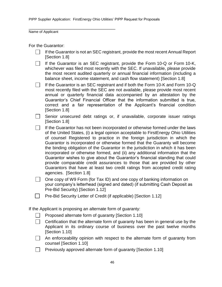\_\_\_\_\_\_\_\_\_\_\_\_\_\_\_\_\_\_\_\_\_\_\_\_\_\_\_\_\_\_\_\_\_\_\_\_\_\_\_\_\_\_\_

Name of Applicant

For the Guarantor:

| If the Guarantor is not an SEC registrant, provide the most recent Annual Report<br>[Section 1.8]                                                                                                                                                                                                                                                                                                                                                                                                                                                                                                                                                                                                                                                                             |
|-------------------------------------------------------------------------------------------------------------------------------------------------------------------------------------------------------------------------------------------------------------------------------------------------------------------------------------------------------------------------------------------------------------------------------------------------------------------------------------------------------------------------------------------------------------------------------------------------------------------------------------------------------------------------------------------------------------------------------------------------------------------------------|
| If the Guarantor is an SEC registrant, provide the Form 10-Q or Form 10-K,<br>whichever was filed most recently with the SEC. If unavailable, please provide<br>the most recent audited quarterly or annual financial information (including a<br>balance sheet, income statement, and cash flow statement) [Section 1.8]                                                                                                                                                                                                                                                                                                                                                                                                                                                     |
| If the Guarantor is an SEC registrant and if both the Form 10-K and Form 10-Q<br>most recently filed with the SEC are not available, please provide most recent<br>annual or quarterly financial data accompanied by an attestation by the<br>Guarantor's Chief Financial Officer that the information submitted is true,<br>correct and a fair representation of the Applicant's financial condition<br>[Section 1.8]                                                                                                                                                                                                                                                                                                                                                        |
| Senior unsecured debt ratings or, if unavailable, corporate issuer ratings<br>[Section 1.8]                                                                                                                                                                                                                                                                                                                                                                                                                                                                                                                                                                                                                                                                                   |
| If the Guarantor has not been incorporated or otherwise formed under the laws<br>of the United States, (i) a legal opinion acceptable to FirstEnergy Ohio Utilities<br>of counsel Registered to practice in the foreign jurisdiction in which the<br>Guarantor is incorporated or otherwise formed that the Guaranty will become<br>the binding obligation of the Guarantor in the jurisdiction in which it has been<br>incorporated or otherwise formed, and (ii) any additional information that the<br>Guarantor wishes to give about the Guarantor's financial standing that could<br>provide comparable credit assurances to those that are provided by other<br>Guarantors that have at least two credit ratings from accepted credit rating<br>agencies. [Section 1.8] |
| One copy of W9 Form (for Tax ID) and one copy of banking information on<br>your company's letterhead (signed and dated) (if submitting Cash Deposit as<br>Pre-Bid Security) [Section 1.12]                                                                                                                                                                                                                                                                                                                                                                                                                                                                                                                                                                                    |
| Pre-Bid Security Letter of Credit (if applicable) [Section 1.12]                                                                                                                                                                                                                                                                                                                                                                                                                                                                                                                                                                                                                                                                                                              |
| If the Applicant is proposing an alternate form of guaranty:                                                                                                                                                                                                                                                                                                                                                                                                                                                                                                                                                                                                                                                                                                                  |
| Proposed alternate form of guaranty [Section 1.10]                                                                                                                                                                                                                                                                                                                                                                                                                                                                                                                                                                                                                                                                                                                            |
| Certification that the alternate form of guaranty has been in general use by the<br>Applicant in its ordinary course of business over the past twelve months<br>[Section 1.10]                                                                                                                                                                                                                                                                                                                                                                                                                                                                                                                                                                                                |
| An enforceability opinion with respect to the alternate form of guaranty from<br>counsel [Section 1.10]                                                                                                                                                                                                                                                                                                                                                                                                                                                                                                                                                                                                                                                                       |
| Previously approved alternate form of guaranty [Section 1.10]                                                                                                                                                                                                                                                                                                                                                                                                                                                                                                                                                                                                                                                                                                                 |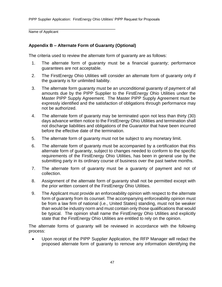Name of Applicant

# **Appendix B – Alternate Form of Guaranty (Optional)**

\_\_\_\_\_\_\_\_\_\_\_\_\_\_\_\_\_\_\_\_\_\_\_\_\_\_\_\_\_\_\_\_\_\_\_\_\_\_\_\_\_\_\_

The criteria used to review the alternate form of guaranty are as follows:

- 1. The alternate form of guaranty must be a financial guaranty; performance guarantees are not acceptable.
- 2. The FirstEnergy Ohio Utilities will consider an alternate form of guaranty only if the guaranty is for unlimited liability.
- 3. The alternate form guaranty must be an unconditional guaranty of payment of all amounts due by the PIPP Supplier to the FirstEnergy Ohio Utilities under the Master PIPP Supply Agreement. The Master PIPP Supply Agreement must be expressly identified and the satisfaction of obligations through performance may not be authorized.
- 4. The alternate form of guaranty may be terminated upon not less than thirty (30) days advance written notice to the FirstEnergy Ohio Utilities and termination shall not discharge liabilities and obligations of the Guarantor that have been incurred before the effective date of the termination.
- 5. The alternate form of guaranty must not be subject to any monetary limit.
- 6. The alternate form of guaranty must be accompanied by a certification that this alternate form of guaranty, subject to changes needed to conform to the specific requirements of the FirstEnergy Ohio Utilities, has been in general use by the submitting party in its ordinary course of business over the past twelve months.
- 7. The alternate form of guaranty must be a guaranty of payment and not of collection.
- 8. Assignment of the alternate form of guaranty shall not be permitted except with the prior written consent of the FirstEnergy Ohio Utilities.
- 9. The Applicant must provide an enforceability opinion with respect to the alternate form of guaranty from its counsel. The accompanying enforceability opinion must be from a law firm of national (i.e., United States) standing, must not be weaker than would be industry norm and must contain only those qualifications that would be typical. The opinion shall name the FirstEnergy Ohio Utilities and explicitly state that the FirstEnergy Ohio Utilities are entitled to rely on the opinion.

The alternate forms of guaranty will be reviewed in accordance with the following process:

 Upon receipt of the PIPP Supplier Application, the RFP Manager will redact the proposed alternate form of guaranty to remove any information identifying the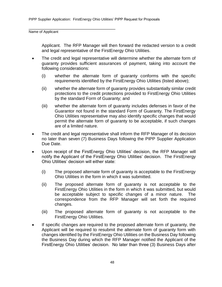\_\_\_\_\_\_\_\_\_\_\_\_\_\_\_\_\_\_\_\_\_\_\_\_\_\_\_\_\_\_\_\_\_\_\_\_\_\_\_\_\_\_\_

Name of Applicant

Applicant. The RFP Manager will then forward the redacted version to a credit and legal representative of the FirstEnergy Ohio Utilities.

- The credit and legal representative will determine whether the alternate form of guaranty provides sufficient assurances of payment, taking into account the following considerations:
	- (i) whether the alternate form of guaranty conforms with the specific requirements identified by the FirstEnergy Ohio Utilities (listed above);
	- (ii) whether the alternate form of guaranty provides substantially similar credit protections to the credit protections provided to FirstEnergy Ohio Utilities by the standard Form of Guaranty; and
	- (iii) whether the alternate form of guaranty includes defenses in favor of the Guarantor not found in the standard Form of Guaranty. The FirstEnergy Ohio Utilities representative may also identify specific changes that would permit the alternate form of guaranty to be acceptable, if such changes are of a limited nature.
- The credit and legal representative shall inform the RFP Manager of its decision no later than seven (7) Business Days following the PIPP Supplier Application Due Date.
- Upon receipt of the FirstEnergy Ohio Utilities' decision, the RFP Manager will notify the Applicant of the FirstEnergy Ohio Utilities' decision. The FirstEnergy Ohio Utilities' decision will either state:
	- (i) The proposed alternate form of guaranty is acceptable to the FirstEnergy Ohio Utilities in the form in which it was submitted.
	- (ii) The proposed alternate form of guaranty is not acceptable to the FirstEnergy Ohio Utilities in the form in which it was submitted, but would be acceptable subject to specific changes of a minor nature. The correspondence from the RFP Manager will set forth the required changes.
	- (iii) The proposed alternate form of guaranty is not acceptable to the FirstEnergy Ohio Utilities.
- If specific changes are required to the proposed alternate form of guaranty, the Applicant will be required to resubmit the alternate form of guaranty form with changes identified by the FirstEnergy Ohio Utilities on the Business Day following the Business Day during which the RFP Manager notified the Applicant of the FirstEnergy Ohio Utilities' decision. No later than three (3) Business Days after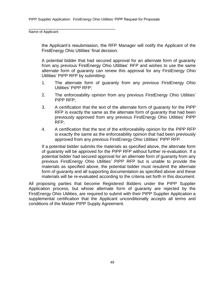\_\_\_\_\_\_\_\_\_\_\_\_\_\_\_\_\_\_\_\_\_\_\_\_\_\_\_\_\_\_\_\_\_\_\_\_\_\_\_\_\_\_\_

Name of Applicant

the Applicant's resubmission, the RFP Manager will notify the Applicant of the FirstEnergy Ohio Utilities' final decision.

A potential bidder that had secured approval for an alternate form of guaranty from any previous FirstEnergy Ohio Utilities' RFP and wishes to use the same alternate form of guaranty can renew this approval for any FirstEnergy Ohio Utilities' PIPP RFP by submitting:

- 1. The alternate form of guaranty from any previous FirstEnergy Ohio Utilities' PIPP RFP;
- 2. The enforceability opinion from any previous FirstEnergy Ohio Utilities' PIPP RFP;
- 3. A certification that the text of the alternate form of guaranty for the PIPP RFP is exactly the same as the alternate form of guaranty that had been previously approved from any previous FirstEnergy Ohio Utilities' PIPP RFP;
- 4. A certification that the text of the enforceability opinion for the PIPP RFP is exactly the same as the enforceability opinion that had been previously approved from any previous FirstEnergy Ohio Utilities' PIPP RFP.

If a potential bidder submits the materials as specified above, the alternate form of guaranty will be approved for the PIPP RFP without further re-evaluation. If a potential bidder had secured approval for an alternate form of guaranty from any previous FirstEnergy Ohio Utilities' PIPP RFP but is unable to provide the materials as specified above, the potential bidder must resubmit the alternate form of guaranty and all supporting documentation as specified above and these materials will be re-evaluated according to the criteria set forth in this document.

All proposing parties that become Registered Bidders under the PIPP Supplier Application process, but whose alternate form of guaranty are rejected by the FirstEnergy Ohio Utilities, are required to submit with their PIPP Supplier Application a supplemental certification that the Applicant unconditionally accepts all terms and conditions of the Master PIPP Supply Agreement.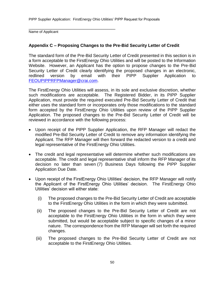\_\_\_\_\_\_\_\_\_\_\_\_\_\_\_\_\_\_\_\_\_\_\_\_\_\_\_\_\_\_\_\_\_\_\_\_\_\_\_\_\_\_\_ Name of Applicant

# **Appendix C – Proposing Changes to the Pre-Bid Security Letter of Credit**

The standard form of the Pre-Bid Security Letter of Credit presented in this section is in a form acceptable to the FirstEnergy Ohio Utilities and will be posted to the Information Website. However, an Applicant has the option to propose changes to the Pre-Bid Security Letter of Credit clearly identifying the proposed changes in an electronic, redlined version by email with their PIPP Supplier Application to [FEOUPIPPRFPManager@](mailto:FEOUPIPPRFPManager@crai.com)crai.com.

The FirstEnergy Ohio Utilities will assess, in its sole and exclusive discretion, whether such modifications are acceptable. The Registered Bidder, in its PIPP Supplier Application, must provide the required executed Pre-Bid Security Letter of Credit that either uses the standard form or incorporates only those modifications to the standard form accepted by the FirstEnergy Ohio Utilities upon review of the PIPP Supplier Application. The proposed changes to the Pre-Bid Security Letter of Credit will be reviewed in accordance with the following process:

- Upon receipt of the PIPP Supplier Application, the RFP Manager will redact the modified Pre-Bid Security Letter of Credit to remove any information identifying the Applicant. The RFP Manager will then forward the redacted version to a credit and legal representative of the FirstEnergy Ohio Utilities.
- The credit and legal representative will determine whether such modifications are acceptable. The credit and legal representative shall inform the RFP Manager of its decision no later than seven (7) Business Days following the PIPP Supplier Application Due Date.
- Upon receipt of the FirstEnergy Ohio Utilities' decision, the RFP Manager will notify the Applicant of the FirstEnergy Ohio Utilities' decision. The FirstEnergy Ohio Utilities' decision will either state:
	- (i) The proposed changes to the Pre-Bid Security Letter of Credit are acceptable to the FirstEnergy Ohio Utilities in the form in which they were submitted.
	- (ii) The proposed changes to the Pre-Bid Security Letter of Credit are not acceptable to the FirstEnergy Ohio Utilities in the form in which they were submitted, but would be acceptable subject to specific changes of a minor nature. The correspondence from the RFP Manager will set forth the required changes.
	- (iii) The proposed changes to the Pre-Bid Security Letter of Credit are not acceptable to the FirstEnergy Ohio Utilities.